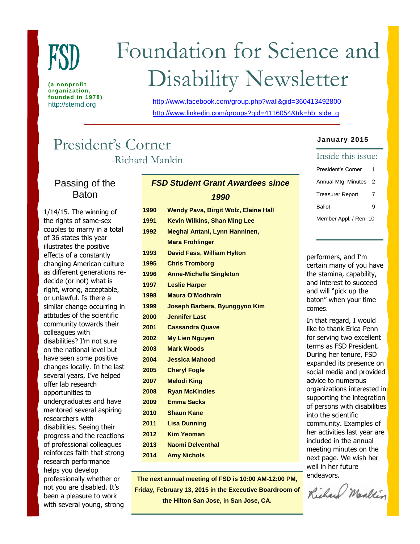

**(a nonprofit organization, founded in 1978)**

# Foundation for Science and Disability Newsletter

http://stemd.org <http://www.facebook.com/group.php?wall&gid=360413492800> [http://www.linkedin.com/groups?gid=4116054&trk=hb\\_side\\_g](http://www.linkedin.com/groups?gid=4116054&trk=hb_side_g)

# President's Corner -Richard Mankin

Passing of the Baton

1/14/15. The winning of the rights of same-sex couples to marry in a total of 36 states this year illustrates the positive effects of a constantly changing American culture as different generations redecide (or not) what is right, wrong, acceptable, or unlawful. Is there a similar change occurring in attitudes of the scientific community towards their colleagues with disabilities? I'm not sure on the national level but have seen some positive changes locally. In the last several years, I've helped offer lab research opportunities to undergraduates and have mentored several aspiring researchers with disabilities. Seeing their progress and the reactions of professional colleagues reinforces faith that strong research performance helps you develop professionally whether or not you are disabled. It's been a pleasure to work with several young, strong

# *FSD Student Grant Awardees since 1990*

 **Wendy Pava, Birgit Wolz, Elaine Hall Kevin Wilkins, Shan Ming Lee Meghal Antani, Lynn Hanninen, Mara Frohlinger David Fass, William Hylton Chris Tromborg Anne-Michelle Singleton Leslie Harper Maura O'Modhrain Joseph Barbera, Byunggyoo Kim Jennifer Last Cassandra Quave My Lien Nguyen Mark Woods Jessica Mahood Cheryl Fogle Melodi King Ryan McKindles Emma Sacks Shaun Kane Lisa Dunning Kim Yeoman Naomi Delventhal Amy Nichols**

**The next annual meeting of FSD is 10:00 AM-12:00 PM,**  *FSD Student Grant Awardees since*  **Friday, February 13, 2015 in the Executive Boardroom of 1991 the Hilton San Jose, in San Jose, CA.** 

#### **January 2015**

| Inside this issue:      |   |  |
|-------------------------|---|--|
| President's Corner      | 1 |  |
| Annual Mtg. Minutes     | 2 |  |
| <b>Treasurer Report</b> | 7 |  |
| <b>Ballot</b>           | 9 |  |
| Member Appl. / Ren. 10  |   |  |

performers, and I'm certain many of you have the stamina, capability, and interest to succeed and will "pick up the baton" when your time comes.

In that regard, I would like to thank Erica Penn for serving two excellent terms as FSD President. During her tenure, FSD expanded its presence on social media and provided advice to numerous organizations interested in supporting the integration of persons with disabilities into the scientific community. Examples of her activities last year are included in the annual meeting minutes on the next page. We wish her well in her future endeavors.

Richard Markin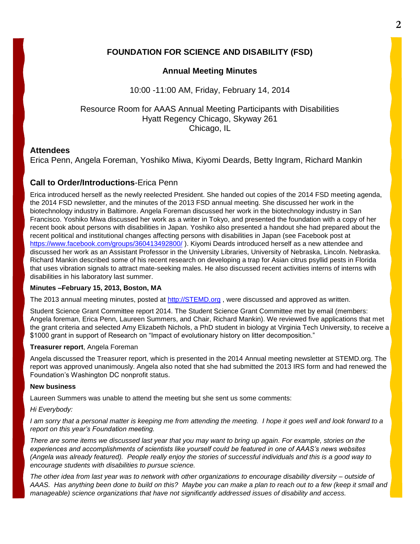# **FOUNDATION FOR SCIENCE AND DISABILITY (FSD)**

## **Annual Meeting Minutes**

10:00 -11:00 AM, Friday, February 14, 2014

## Resource Room for AAAS Annual Meeting Participants with Disabilities Hyatt Regency Chicago, Skyway 261 Chicago, IL

#### **Attendees**

Erica Penn, Angela Foreman, Yoshiko Miwa, Kiyomi Deards, Betty Ingram, Richard Mankin

## **Call to Order/Introductions**-Erica Penn

Erica introduced herself as the newly reelected President. She handed out copies of the 2014 FSD meeting agenda, the 2014 FSD newsletter, and the minutes of the 2013 FSD annual meeting. She discussed her work in the biotechnology industry in Baltimore. Angela Foreman discussed her work in the biotechnology industry in San Francisco. Yoshiko Miwa discussed her work as a writer in Tokyo, and presented the foundation with a copy of her recent book about persons with disabilities in Japan. Yoshiko also presented a handout she had prepared about the recent political and institutional changes affecting persons with disabilities in Japan (see Facebook post at <https://www.facebook.com/groups/360413492800/>). Kiyomi Deards introduced herself as a new attendee and discussed her work as an Assistant Professor in the University Libraries, University of Nebraska, Lincoln. Nebraska. Richard Mankin described some of his recent research on developing a trap for Asian citrus psyllid pests in Florida that uses vibration signals to attract mate-seeking males. He also discussed recent activities interns of interns with disabilities in his laboratory last summer.

#### **Minutes –February 15, 2013, Boston, MA**

The 2013 annual meeting minutes, posted at [http://STEMD.org](http://stemd.org/) , were discussed and approved as written.

Student Science Grant Committee report 2014. The Student Science Grant Committee met by email (members: Angela foreman, Erica Penn, Laureen Summers, and Chair, Richard Mankin). We reviewed five applications that met the grant criteria and selected Amy Elizabeth Nichols, a PhD student in biology at Virginia Tech University, to receive a \$1000 grant in support of Research on "Impact of evolutionary history on litter decomposition."

#### **Treasurer report**, Angela Foreman

Angela discussed the Treasurer report, which is presented in the 2014 Annual meeting newsletter at STEMD.org. The report was approved unanimously. Angela also noted that she had submitted the 2013 IRS form and had renewed the Foundation's Washington DC nonprofit status.

#### **New business**

Laureen Summers was unable to attend the meeting but she sent us some comments:

#### *Hi Everybody:*

*I am sorry that a personal matter is keeping me from attending the meeting. I hope it goes well and look forward to a report on this year's Foundation meeting.*

*There are some items we discussed last year that you may want to bring up again. For example, stories on the experiences and accomplishments of scientists like yourself could be featured in one of AAAS's news websites (Angela was already featured). People really enjoy the stories of successful individuals and this is a good way to encourage students with disabilities to pursue science.*

*The other idea from last year was to network with other organizations to encourage disability diversity – outside of AAAS. Has anything been done to build on this? Maybe you can make a plan to reach out to a few (keep it small and manageable) science organizations that have not significantly addressed issues of disability and access.*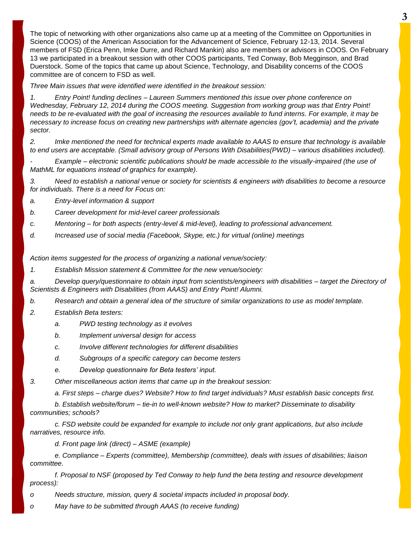The topic of networking with other organizations also came up at a meeting of the Committee on Opportunities in Science (COOS) of the American Association for the Advancement of Science, February 12-13, 2014. Several members of FSD (Erica Penn, Imke Durre, and Richard Mankin) also are members or advisors in COOS. On February 13 we participated in a breakout session with other COOS participants, Ted Conway, Bob Megginson, and Brad Duerstock. Some of the topics that came up about Science, Technology, and Disability concerns of the COOS committee are of concern to FSD as well.

*Three Main issues that were identified were identified in the breakout session:*

*1. Entry Point! funding declines – Laureen Summers mentioned this issue over phone conference on Wednesday, February 12, 2014 during the COOS meeting. Suggestion from working group was that Entry Point! needs to be re-evaluated with the goal of increasing the resources available to fund interns. For example, it may be necessary to increase focus on creating new partnerships with alternate agencies (gov't, academia) and the private sector.*

*2. Imke mentioned the need for technical experts made available to AAAS to ensure that technology is available to end users are acceptable. (Small advisory group of Persons With Disabilities(PWD) – various disabilities included).*

*- Example – electronic scientific publications should be made accessible to the visually-impaired (the use of MathML for equations instead of graphics for example).*

*3. Need to establish a national venue or society for scientists & engineers with disabilities to become a resource for individuals. There is a need for Focus on:*

- *a. Entry-level information & support*
- *b. Career development for mid-level career professionals*
- *c. Mentoring – for both aspects (entry-level & mid-level), leading to professional advancement.*
- *d. Increased use of social media (Facebook, Skype, etc.) for virtual (online) meetings*

*Action items suggested for the process of organizing a national venue/society:*

*1. Establish Mission statement & Committee for the new venue/society:*

*a. Develop query/questionnaire to obtain input from scientists/engineers with disabilities – target the Directory of Scientists & Engineers with Disabilities (from AAAS) and Entry Point! Alumni.*

*b. Research and obtain a general idea of the structure of similar organizations to use as model template.*

- *2. Establish Beta testers:*
	- *a. PWD testing technology as it evolves*
	- *b. Implement universal design for access*
	- *c. Involve different technologies for different disabilities*
	- *d. Subgroups of a specific category can become testers*
	- *e. Develop questionnaire for Beta testers' input.*
- *3. Other miscellaneous action items that came up in the breakout session:*

*a. First steps – charge dues? Website? How to find target individuals? Must establish basic concepts first.*

*b. Establish website/forum – tie-in to well-known website? How to market? Disseminate to disability communities; schools?*

*c. FSD website could be expanded for example to include not only grant applications, but also include narratives, resource info.* 

*d. Front page link (direct) – ASME (example)*

*e. Compliance – Experts (committee), Membership (committee), deals with issues of disabilities; liaison committee.*

*f. Proposal to NSF (proposed by Ted Conway to help fund the beta testing and resource development process):*

- *o Needs structure, mission, query & societal impacts included in proposal body.*
- *o May have to be submitted through AAAS (to receive funding)*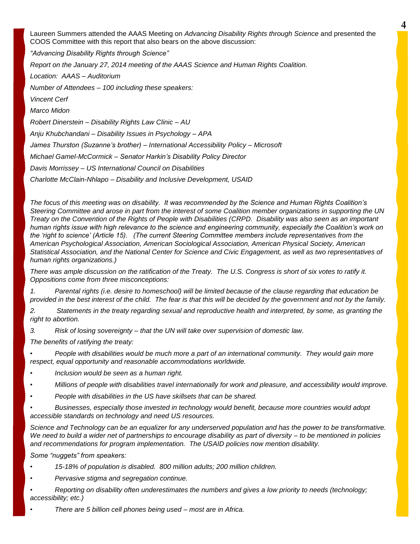Laureen Summers attended the AAAS Meeting on *Advancing Disability Rights through Science* and presented the COOS Committee with this report that also bears on the above discussion: *"Advancing Disability Rights through Science" Report on the January 27, 2014 meeting of the AAAS Science and Human Rights Coalition. Location: AAAS – Auditorium Number of Attendees – 100 including these speakers: Vincent Cerf Marco Midon Robert Dinerstein – Disability Rights Law Clinic – AU Anju Khubchandani – Disability Issues in Psychology – APA James Thurston (Suzanne's brother) – International Accessibility Policy – Microsoft Michael Gamel-McCormick – Senator Harkin's Disability Policy Director Davis Morrissey – US International Council on Disabilities Charlotte McClain-Nhlapo – Disability and Inclusive Development, USAID*

*The focus of this meeting was on disability. It was recommended by the Science and Human Rights Coalition's Steering Committee and arose in part from the interest of some Coalition member organizations in supporting the UN Treaty on the Convention of the Rights of People with Disabilities (CRPD. Disability was also seen as an important human rights issue with high relevance to the science and engineering community, especially the Coalition's work on the 'right to science' (Article 15). (The current Steering Committee members include representatives from the American Psychological Association, American Sociological Association, American Physical Society, American Statistical Association, and the National Center for Science and Civic Engagement, as well as two representatives of human rights organizations.)*

*There was ample discussion on the ratification of the Treaty. The U.S. Congress is short of six votes to ratify it. Oppositions come from three misconceptions:*

*1. Parental rights (i.e. desire to homeschool) will be limited because of the clause regarding that education be provided in the best interest of the child. The fear is that this will be decided by the government and not by the family.* 

*2. Statements in the treaty regarding sexual and reproductive health and interpreted, by some, as granting the right to abortion.*

*3. Risk of losing sovereignty – that the UN will take over supervision of domestic law.*

*The benefits of ratifying the treaty:*

*• People with disabilities would be much more a part of an international community. They would gain more respect, equal opportunity and reasonable accommodations worldwide.* 

- *• Inclusion would be seen as a human right.*
- *• Millions of people with disabilities travel internationally for work and pleasure, and accessibility would improve.*
- *• People with disabilities in the US have skillsets that can be shared.*

*• Businesses, especially those invested in technology would benefit, because more countries would adopt accessible standards on technology and need US resources.*

*Science and Technology can be an equalizer for any underserved population and has the power to be transformative. We need to build a wider net of partnerships to encourage disability as part of diversity – to be mentioned in policies and recommendations for program implementation. The USAID policies now mention disability.*

*Some "nuggets" from speakers:*

*• 15-18% of population is disabled. 800 million adults; 200 million children.*

*• Pervasive stigma and segregation continue.*

- *• Reporting on disability often underestimates the numbers and gives a low priority to needs (technology; accessibility; etc.)*
- *• There are 5 billion cell phones being used – most are in Africa.*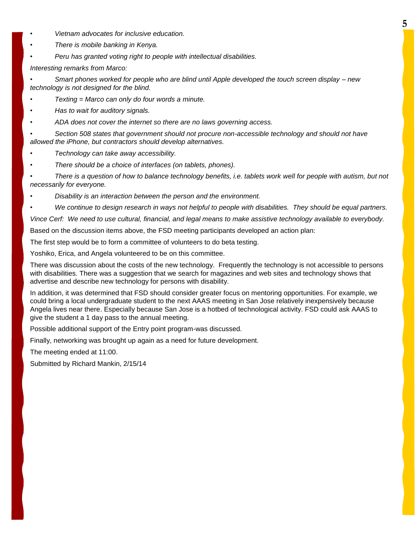- *• Vietnam advocates for inclusive education.*
- *• There is mobile banking in Kenya.*
- *• Peru has granted voting right to people with intellectual disabilities.*

*Interesting remarks from Marco:*

*• Smart phones worked for people who are blind until Apple developed the touch screen display – new technology is not designed for the blind.*

- *• Texting = Marco can only do four words a minute.*
- *• Has to wait for auditory signals.*
- *• ADA does not cover the internet so there are no laws governing access.*

*• Section 508 states that government should not procure non-accessible technology and should not have allowed the iPhone, but contractors should develop alternatives.*

- *• Technology can take away accessibility.*
- *• There should be a choice of interfaces (on tablets, phones).*

*• There is a question of how to balance technology benefits, i.e. tablets work well for people with autism, but not necessarily for everyone.*

- *• Disability is an interaction between the person and the environment.*
- *• We continue to design research in ways not helpful to people with disabilities. They should be equal partners.*

*Vince Cerf: We need to use cultural, financial, and legal means to make assistive technology available to everybody.*

Based on the discussion items above, the FSD meeting participants developed an action plan:

The first step would be to form a committee of volunteers to do beta testing.

Yoshiko, Erica, and Angela volunteered to be on this committee.

There was discussion about the costs of the new technology. Frequently the technology is not accessible to persons with disabilities. There was a suggestion that we search for magazines and web sites and technology shows that advertise and describe new technology for persons with disability.

In addition, it was determined that FSD should consider greater focus on mentoring opportunities. For example, we could bring a local undergraduate student to the next AAAS meeting in San Jose relatively inexpensively because Angela lives near there. Especially because San Jose is a hotbed of technological activity. FSD could ask AAAS to give the student a 1 day pass to the annual meeting.

Possible additional support of the Entry point program-was discussed.

Finally, networking was brought up again as a need for future development.

The meeting ended at 11:00.

Submitted by Richard Mankin, 2/15/14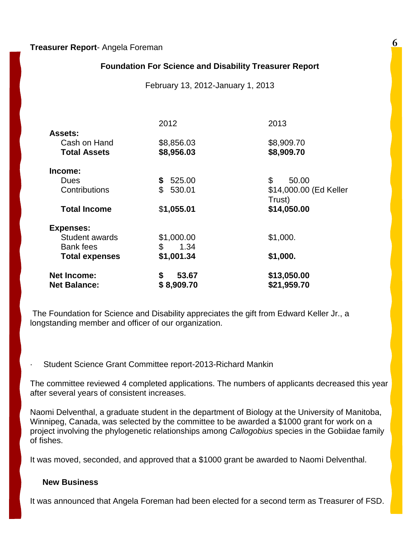### **Treasurer Report**- Angela Foreman

# **Foundation For Science and Disability Treasurer Report**

February 13, 2012-January 1, 2013

|                       | 2012         | 2013                   |
|-----------------------|--------------|------------------------|
| <b>Assets:</b>        |              |                        |
| Cash on Hand          | \$8,856.03   | \$8,909.70             |
| <b>Total Assets</b>   | \$8,956.03   | \$8,909.70             |
| Income:               |              |                        |
| Dues                  | 525.00<br>\$ | \$<br>50.00            |
| Contributions         | \$<br>530.01 | \$14,000.00 (Ed Keller |
|                       |              | Trust)                 |
| <b>Total Income</b>   | \$1,055.01   | \$14,050.00            |
| <b>Expenses:</b>      |              |                        |
| Student awards        | \$1,000.00   | \$1,000.               |
| <b>Bank</b> fees      | \$<br>1.34   |                        |
| <b>Total expenses</b> | \$1,001.34   | \$1,000.               |
| <b>Net Income:</b>    | \$<br>53.67  | \$13,050.00            |
| <b>Net Balance:</b>   | \$8,909.70   | \$21,959.70            |

The Foundation for Science and Disability appreciates the gift from Edward Keller Jr., a longstanding member and officer of our organization.

Student Science Grant Committee report-2013-Richard Mankin

The committee reviewed 4 completed applications. The numbers of applicants decreased this year after several years of consistent increases.

Naomi Delventhal, a graduate student in the department of Biology at the University of Manitoba, Winnipeg, Canada, was selected by the committee to be awarded a \$1000 grant for work on a project involving the phylogenetic relationships among *Callogobius* species in the Gobiidae family of fishes.

It was moved, seconded, and approved that a \$1000 grant be awarded to Naomi Delventhal.

#### **New Business**

It was announced that Angela Foreman had been elected for a second term as Treasurer of FSD.

**6**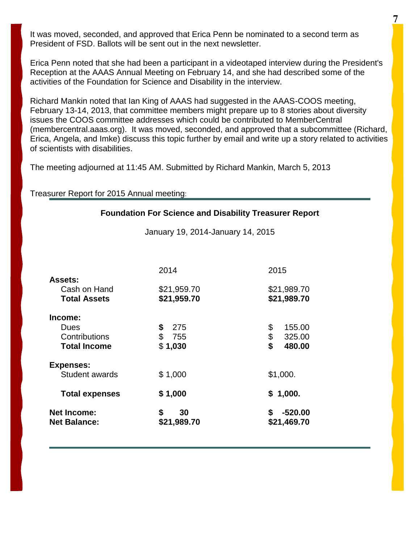It was moved, seconded, and approved that Erica Penn be nominated to a second term as President of FSD. Ballots will be sent out in the next newsletter.

Erica Penn noted that she had been a participant in a videotaped interview during the President's Reception at the AAAS Annual Meeting on February 14, and she had described some of the activities of the Foundation for Science and Disability in the interview.

Richard Mankin noted that Ian King of AAAS had suggested in the AAAS-COOS meeting, February 13-14, 2013, that committee members might prepare up to 8 stories about diversity issues the COOS committee addresses which could be contributed to MemberCentral (membercentral.aaas.org). It was moved, seconded, and approved that a subcommittee (Richard, Erica, Angela, and Imke) discuss this topic further by email and write up a story related to activities of scientists with disabilities.

The meeting adjourned at 11:45 AM. Submitted by Richard Mankin, March 5, 2013

#### Treasurer Report for 2015 Annual meeting:

#### **Foundation For Science and Disability Treasurer Report**

January 19, 2014-January 14, 2015

| <b>Total expenses</b><br><b>Net Income:</b><br><b>Net Balance:</b> | \$1,000<br>\$<br>30<br>\$21,989.70 | 1,000.<br>\$<br>$-520.00$<br>\$<br>\$21,469.70 |
|--------------------------------------------------------------------|------------------------------------|------------------------------------------------|
|                                                                    |                                    |                                                |
| <b>Expenses:</b><br>Student awards                                 | \$1,000                            | \$1,000.                                       |
| Dues<br>Contributions<br><b>Total Income</b>                       | \$<br>275<br>\$<br>755<br>\$1,030  | \$<br>155.00<br>\$<br>325.00<br>\$<br>480.00   |
| <b>Total Assets</b><br>Income:                                     | \$21,959.70                        | \$21,989.70                                    |
| <b>Assets:</b><br>Cash on Hand                                     | \$21,959.70                        | \$21,989.70                                    |
|                                                                    | 2014                               | 2015                                           |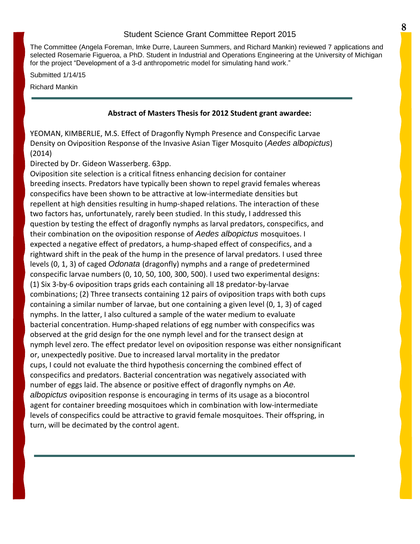The Committee (Angela Foreman, Imke Durre, Laureen Summers, and Richard Mankin) reviewed 7 applications and selected Rosemarie Figueroa, a PhD. Student in Industrial and Operations Engineering at the University of Michigan for the project "Development of a 3-d anthropometric model for simulating hand work."

Submitted 1/14/15

Richard Mankin

#### **Abstract of Masters Thesis for 2012 Student grant awardee:**

YEOMAN, KIMBERLIE, M.S. Effect of Dragonfly Nymph Presence and Conspecific Larvae Density on Oviposition Response of the Invasive Asian Tiger Mosquito (*Aedes albopictus*) (2014)

Directed by Dr. Gideon Wasserberg. 63pp.

Oviposition site selection is a critical fitness enhancing decision for container breeding insects. Predators have typically been shown to repel gravid females whereas conspecifics have been shown to be attractive at low‐intermediate densities but repellent at high densities resulting in hump‐shaped relations. The interaction of these two factors has, unfortunately, rarely been studied. In this study, I addressed this question by testing the effect of dragonfly nymphs as larval predators, conspecifics, and their combination on the oviposition response of *Aedes albopictus* mosquitoes. I expected a negative effect of predators, a hump‐shaped effect of conspecifics, and a rightward shift in the peak of the hump in the presence of larval predators. I used three levels (0, 1, 3) of caged *Odonata* (dragonfly) nymphs and a range of predetermined conspecific larvae numbers (0, 10, 50, 100, 300, 500). I used two experimental designs: (1) Six 3‐by‐6 oviposition traps grids each containing all 18 predator‐by‐larvae combinations; (2) Three transects containing 12 pairs of oviposition traps with both cups containing a similar number of larvae, but one containing a given level (0, 1, 3) of caged nymphs. In the latter, I also cultured a sample of the water medium to evaluate bacterial concentration. Hump‐shaped relations of egg number with conspecifics was observed at the grid design for the one nymph level and for the transect design at nymph level zero. The effect predator level on oviposition response was either nonsignificant or, unexpectedly positive. Due to increased larval mortality in the predator cups, I could not evaluate the third hypothesis concerning the combined effect of conspecifics and predators. Bacterial concentration was negatively associated with number of eggs laid. The absence or positive effect of dragonfly nymphs on *Ae. albopictus* oviposition response is encouraging in terms of its usage as a biocontrol agent for container breeding mosquitoes which in combination with low-intermediate levels of conspecifics could be attractive to gravid female mosquitoes. Their offspring, in turn, will be decimated by the control agent.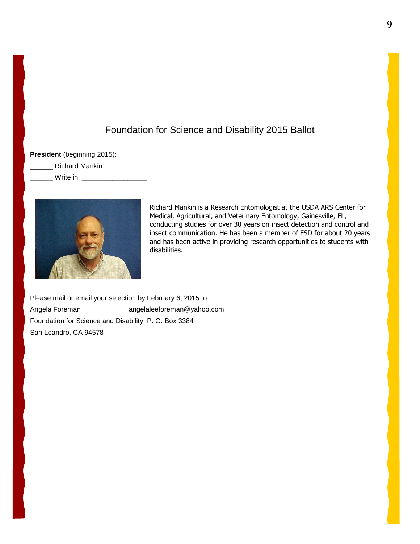# Foundation for Science and Disability 2015 Ballot

**President** (beginning 2015):

\_\_\_\_\_\_ Richard Mankin

Write in:



Richard Mankin is a Research Entomologist at the USDA ARS Center for Medical, Agricultural, and Veterinary Entomology, Gainesville, FL, conducting studies for over 30 years on insect detection and control and insect communication. He has been a member of FSD for about 20 years and has been active in providing research opportunities to students with disabilities.

Please mail or email your selection by February 6, 2015 to Angela Foreman angelaleeforeman@yahoo.com Foundation for Science and Disability, P. O. Box 3384 San Leandro, CA 94578